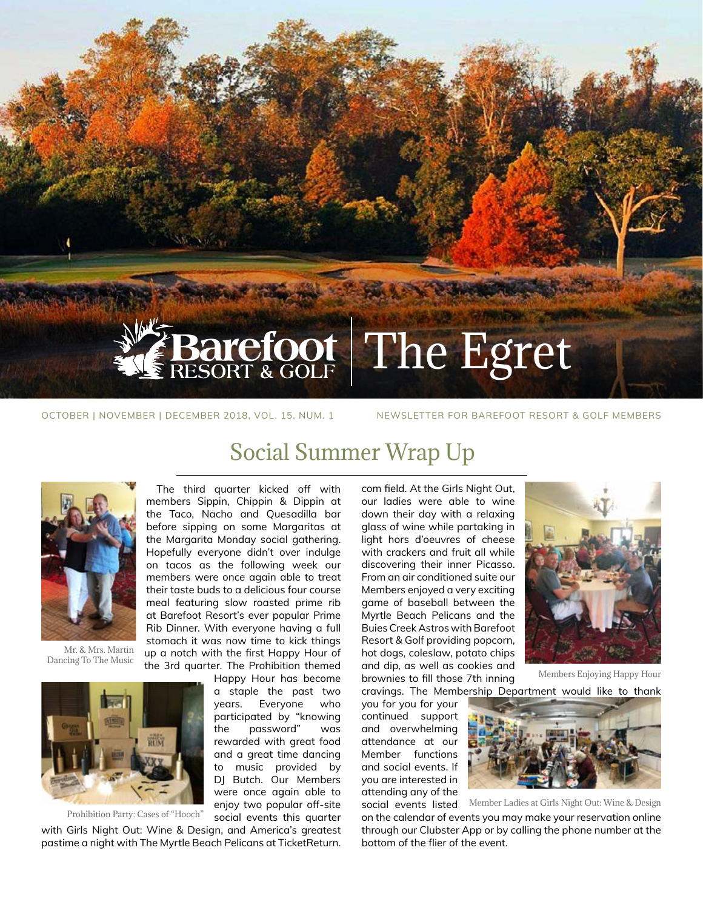# Barefoot The Egret

OCTOBER | NOVEMBER | DECEMBER 2018, VOL. 15, NUM. 1 NEWSLETTER FOR BAREFOOT RESORT & GOLF MEMBERS

The third quarter kicked off with members Sippin, Chippin & Dippin at the Taco, Nacho and Quesadilla bar before sipping on some Margaritas at the Margarita Monday social gathering. Hopefully everyone didn't over indulge on tacos as the following week our members were once again able to treat their taste buds to a delicious four course meal featuring slow roasted prime rib at Barefoot Resort's ever popular Prime Rib Dinner. With everyone having a full stomach it was now time to kick things up a notch with the first Happy Hour of the 3rd quarter. The Prohibition themed

> Happy Hour has become a staple the past two years. Everyone who participated by "knowing the password" was rewarded with great food and a great time dancing to music provided by DI Butch. Our Members were once again able to enjoy two popular off-site social events this quarter

### Social Summer Wrap Up



Mr. & Mrs. Martin Dancing To The Music



Prohibition Party: Cases of "Hooch"

with Girls Night Out: Wine & Design, and America's greatest pastime a night with The Myrtle Beach Pelicans at TicketReturn.

com field. At the Girls Night Out, our ladies were able to wine down their day with a relaxing glass of wine while partaking in light hors d'oeuvres of cheese with crackers and fruit all while discovering their inner Picasso. From an air conditioned suite our Members enjoyed a very exciting game of baseball between the Myrtle Beach Pelicans and the Buies Creek Astros with Barefoot Resort & Golf providing popcorn, hot dogs, coleslaw, potato chips and dip, as well as cookies and brownies to fill those 7th inning



cravings. The Membership Department would like to thank Members Enjoying Happy Hour

you for you for your continued support and overwhelming attendance at our Member functions and social events. If you are interested in attending any of the social events listed



on the calendar of events you may make your reservation online through our Clubster App or by calling the phone number at the bottom of the flier of the event. Member Ladies at Girls Night Out: Wine & Design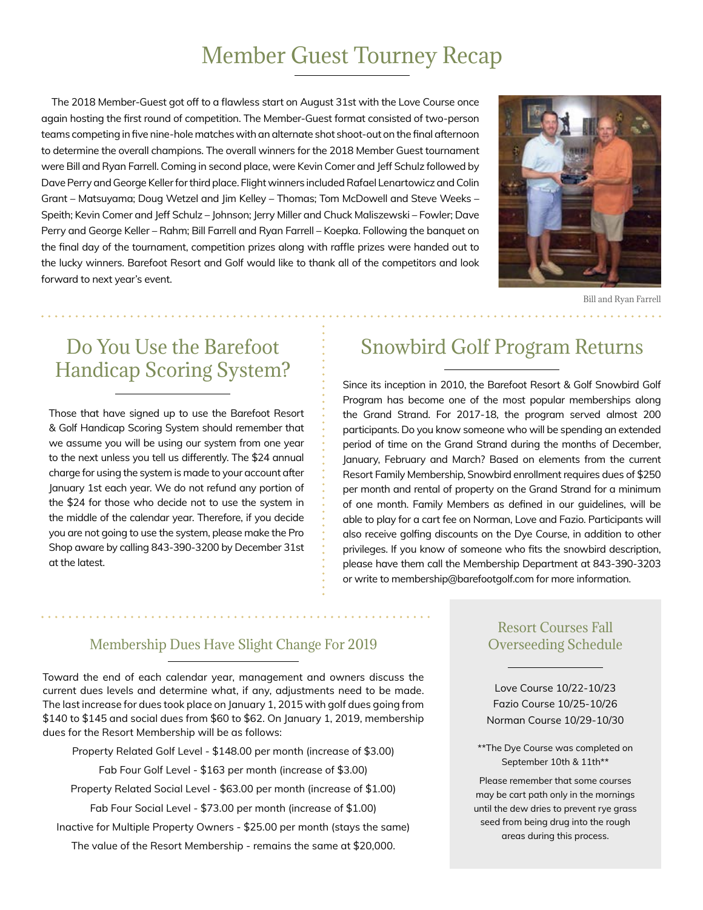## Member Guest Tourney Recap

The 2018 Member-Guest got off to a flawless start on August 31st with the Love Course once again hosting the first round of competition. The Member-Guest format consisted of two-person teams competing in five nine-hole matches with an alternate shot shoot-out on the final afternoon to determine the overall champions. The overall winners for the 2018 Member Guest tournament were Bill and Ryan Farrell. Coming in second place, were Kevin Comer and Jeff Schulz followed by Dave Perry and George Keller for third place. Flight winners included Rafael Lenartowicz and Colin Grant – Matsuyama; Doug Wetzel and Jim Kelley – Thomas; Tom McDowell and Steve Weeks – Speith; Kevin Comer and Jeff Schulz – Johnson; Jerry Miller and Chuck Maliszewski – Fowler; Dave Perry and George Keller – Rahm; Bill Farrell and Ryan Farrell – Koepka. Following the banquet on the final day of the tournament, competition prizes along with raffle prizes were handed out to the lucky winners. Barefoot Resort and Golf would like to thank all of the competitors and look forward to next year's event.



Bill and Ryan Farrell

# Handicap Scoring System?

Those that have signed up to use the Barefoot Resort & Golf Handicap Scoring System should remember that we assume you will be using our system from one year to the next unless you tell us differently. The \$24 annual charge for using the system is made to your account after January 1st each year. We do not refund any portion of the \$24 for those who decide not to use the system in the middle of the calendar year. Therefore, if you decide you are not going to use the system, please make the Pro Shop aware by calling 843-390-3200 by December 31st at the latest.

### Do You Use the Barefoot  $\qquad \qquad ; \qquad$  Snowbird Golf Program Returns

Since its inception in 2010, the Barefoot Resort & Golf Snowbird Golf Program has become one of the most popular memberships along the Grand Strand. For 2017-18, the program served almost 200 participants. Do you know someone who will be spending an extended period of time on the Grand Strand during the months of December, January, February and March? Based on elements from the current Resort Family Membership, Snowbird enrollment requires dues of \$250 per month and rental of property on the Grand Strand for a minimum of one month. Family Members as defined in our guidelines, will be able to play for a cart fee on Norman, Love and Fazio. Participants will also receive golfing discounts on the Dye Course, in addition to other privileges. If you know of someone who fits the snowbird description, please have them call the Membership Department at 843-390-3203 or write to membership@barefootgolf.com for more information.

#### Membership Dues Have Slight Change For 2019

Toward the end of each calendar year, management and owners discuss the current dues levels and determine what, if any, adjustments need to be made. The last increase for dues took place on January 1, 2015 with golf dues going from \$140 to \$145 and social dues from \$60 to \$62. On January 1, 2019, membership dues for the Resort Membership will be as follows:

Property Related Golf Level - \$148.00 per month (increase of \$3.00)

Fab Four Golf Level - \$163 per month (increase of \$3.00)

Property Related Social Level - \$63.00 per month (increase of \$1.00)

Fab Four Social Level - \$73.00 per month (increase of \$1.00)

Inactive for Multiple Property Owners - \$25.00 per month (stays the same)

The value of the Resort Membership - remains the same at \$20,000.

#### Resort Courses Fall Overseeding Schedule

Love Course 10/22-10/23 Fazio Course 10/25-10/26 Norman Course 10/29-10/30

\*\*The Dye Course was completed on September 10th & 11th\*\*

Please remember that some courses may be cart path only in the mornings until the dew dries to prevent rye grass seed from being drug into the rough areas during this process.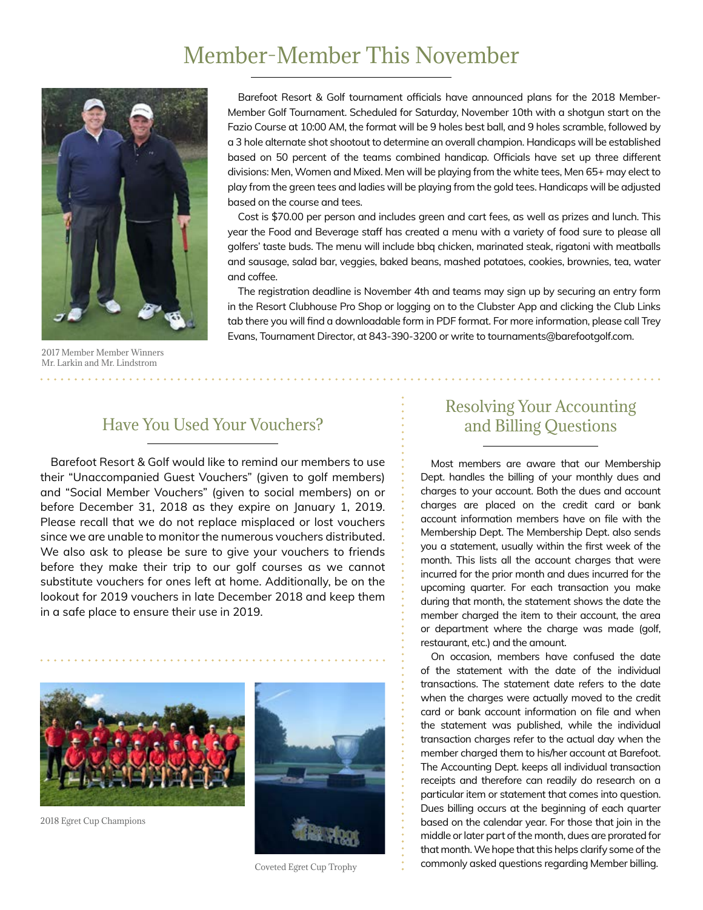# Member-Member This November



Barefoot Resort & Golf tournament officials have announced plans for the 2018 Member-Member Golf Tournament. Scheduled for Saturday, November 10th with a shotgun start on the Fazio Course at 10:00 AM, the format will be 9 holes best ball, and 9 holes scramble, followed by a 3 hole alternate shot shootout to determine an overall champion. Handicaps will be established based on 50 percent of the teams combined handicap. Officials have set up three different divisions: Men, Women and Mixed. Men will be playing from the white tees, Men 65+ may elect to play from the green tees and ladies will be playing from the gold tees. Handicaps will be adjusted based on the course and tees.

Cost is \$70.00 per person and includes green and cart fees, as well as prizes and lunch. This year the Food and Beverage staff has created a menu with a variety of food sure to please all golfers' taste buds. The menu will include bbq chicken, marinated steak, rigatoni with meatballs and sausage, salad bar, veggies, baked beans, mashed potatoes, cookies, brownies, tea, water and coffee.

The registration deadline is November 4th and teams may sign up by securing an entry form in the Resort Clubhouse Pro Shop or logging on to the Clubster App and clicking the Club Links tab there you will find a downloadable form in PDF format. For more information, please call Trey Evans, Tournament Director, at 843-390-3200 or write to tournaments@barefootgolf.com.

2017 Member Member Winners Mr. Larkin and Mr. Lindstrom . . . . . . . . . . . . .

#### Have You Used Your Vouchers?

Barefoot Resort & Golf would like to remind our members to use their "Unaccompanied Guest Vouchers" (given to golf members) and "Social Member Vouchers" (given to social members) on or before December 31, 2018 as they expire on January 1, 2019. Please recall that we do not replace misplaced or lost vouchers since we are unable to monitor the numerous vouchers distributed. We also ask to please be sure to give your vouchers to friends before they make their trip to our golf courses as we cannot substitute vouchers for ones left at home. Additionally, be on the lookout for 2019 vouchers in late December 2018 and keep them in a safe place to ensure their use in 2019.



2018 Egret Cup Champions



Coveted Egret Cup Trophy

#### Resolving Your Accounting and Billing Questions

Most members are aware that our Membership Dept. handles the billing of your monthly dues and charges to your account. Both the dues and account charges are placed on the credit card or bank account information members have on file with the Membership Dept. The Membership Dept. also sends you a statement, usually within the first week of the month. This lists all the account charges that were incurred for the prior month and dues incurred for the upcoming quarter. For each transaction you make during that month, the statement shows the date the member charged the item to their account, the area or department where the charge was made (golf, restaurant, etc.) and the amount.

On occasion, members have confused the date of the statement with the date of the individual transactions. The statement date refers to the date when the charges were actually moved to the credit card or bank account information on file and when the statement was published, while the individual transaction charges refer to the actual day when the member charged them to his/her account at Barefoot. The Accounting Dept. keeps all individual transaction receipts and therefore can readily do research on a particular item or statement that comes into question. Dues billing occurs at the beginning of each quarter based on the calendar year. For those that join in the middle or later part of the month, dues are prorated for that month. We hope that this helps clarify some of the commonly asked questions regarding Member billing.